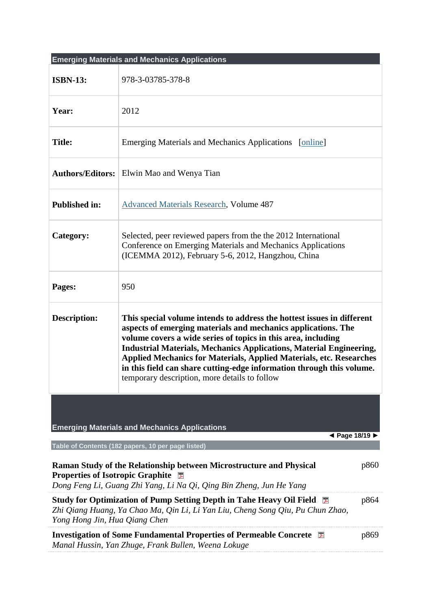|                                                                                                                                                                                                             | <b>Emerging Materials and Mechanics Applications</b>                                                                                                                                                                                                                                                                                                                                                                                                                                           |  |
|-------------------------------------------------------------------------------------------------------------------------------------------------------------------------------------------------------------|------------------------------------------------------------------------------------------------------------------------------------------------------------------------------------------------------------------------------------------------------------------------------------------------------------------------------------------------------------------------------------------------------------------------------------------------------------------------------------------------|--|
| <b>ISBN-13:</b>                                                                                                                                                                                             | 978-3-03785-378-8                                                                                                                                                                                                                                                                                                                                                                                                                                                                              |  |
| Year:                                                                                                                                                                                                       | 2012                                                                                                                                                                                                                                                                                                                                                                                                                                                                                           |  |
| <b>Title:</b>                                                                                                                                                                                               | Emerging Materials and Mechanics Applications [online]                                                                                                                                                                                                                                                                                                                                                                                                                                         |  |
|                                                                                                                                                                                                             | Authors/Editors:   Elwin Mao and Wenya Tian                                                                                                                                                                                                                                                                                                                                                                                                                                                    |  |
| <b>Published in:</b>                                                                                                                                                                                        | <b>Advanced Materials Research, Volume 487</b>                                                                                                                                                                                                                                                                                                                                                                                                                                                 |  |
| Category:                                                                                                                                                                                                   | Selected, peer reviewed papers from the the 2012 International<br>Conference on Emerging Materials and Mechanics Applications<br>(ICEMMA 2012), February 5-6, 2012, Hangzhou, China                                                                                                                                                                                                                                                                                                            |  |
| Pages:                                                                                                                                                                                                      | 950                                                                                                                                                                                                                                                                                                                                                                                                                                                                                            |  |
| <b>Description:</b>                                                                                                                                                                                         | This special volume intends to address the hottest issues in different<br>aspects of emerging materials and mechanics applications. The<br>volume covers a wide series of topics in this area, including<br><b>Industrial Materials, Mechanics Applications, Material Engineering,</b><br><b>Applied Mechanics for Materials, Applied Materials, etc. Researches</b><br>in this field can share cutting-edge information through this volume.<br>temporary description, more details to follow |  |
| <b>Emerging Materials and Mechanics Applications</b><br>◀ Page 18/19 ▶                                                                                                                                      |                                                                                                                                                                                                                                                                                                                                                                                                                                                                                                |  |
|                                                                                                                                                                                                             | Table of Contents (182 papers, 10 per page listed)                                                                                                                                                                                                                                                                                                                                                                                                                                             |  |
| Raman Study of the Relationship between Microstructure and Physical<br>p860<br><b>Properties of Isotropic Graphite</b><br>Dong Feng Li, Guang Zhi Yang, Li Na Qi, Qing Bin Zheng, Jun He Yang               |                                                                                                                                                                                                                                                                                                                                                                                                                                                                                                |  |
| <b>Study for Optimization of Pump Setting Depth in Tahe Heavy Oil Field</b><br>p864<br>人<br>Zhi Qiang Huang, Ya Chao Ma, Qin Li, Li Yan Liu, Cheng Song Qiu, Pu Chun Zhao,<br>Yong Hong Jin, Hua Qiang Chen |                                                                                                                                                                                                                                                                                                                                                                                                                                                                                                |  |
| <b>Investigation of Some Fundamental Properties of Permeable Concrete</b><br>p869<br>医<br>Manal Hussin, Yan Zhuge, Frank Bullen, Weena Lokuge                                                               |                                                                                                                                                                                                                                                                                                                                                                                                                                                                                                |  |